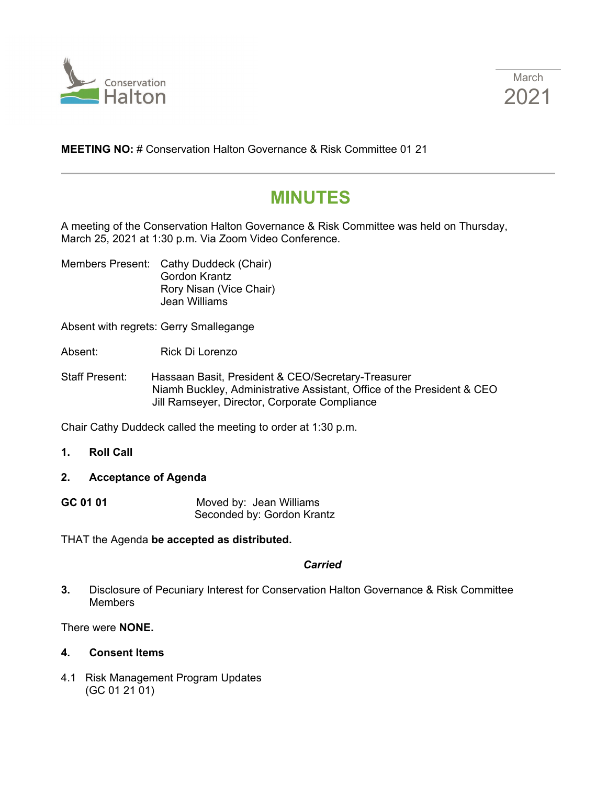



**MEETING NO:** # Conservation Halton Governance & Risk Committee 01 21

# **MINUTES**

A meeting of the Conservation Halton Governance & Risk Committee was held on Thursday, March 25, 2021 at 1:30 p.m. Via Zoom Video Conference.

Members Present: Cathy Duddeck (Chair) Gordon Krantz Rory Nisan (Vice Chair) Jean Williams

Absent with regrets: Gerry Smallegange

Absent: Rick Di Lorenzo

Staff Present: Hassaan Basit, President & CEO/Secretary-Treasurer Niamh Buckley, Administrative Assistant, Office of the President & CEO Jill Ramseyer, Director, Corporate Compliance

Chair Cathy Duddeck called the meeting to order at 1:30 p.m.

- **1. Roll Call**
- **2. Acceptance of Agenda**
- **GC 01 01** Moved by: Jean Williams Seconded by: Gordon Krantz

THAT the Agenda **be accepted as distributed.**

#### *Carried*

**3.** Disclosure of Pecuniary Interest for Conservation Halton Governance & Risk Committee **Members** 

There were **NONE.** 

#### **4. Consent Items**

4.1 Risk Management Program Updates (GC 01 21 01)